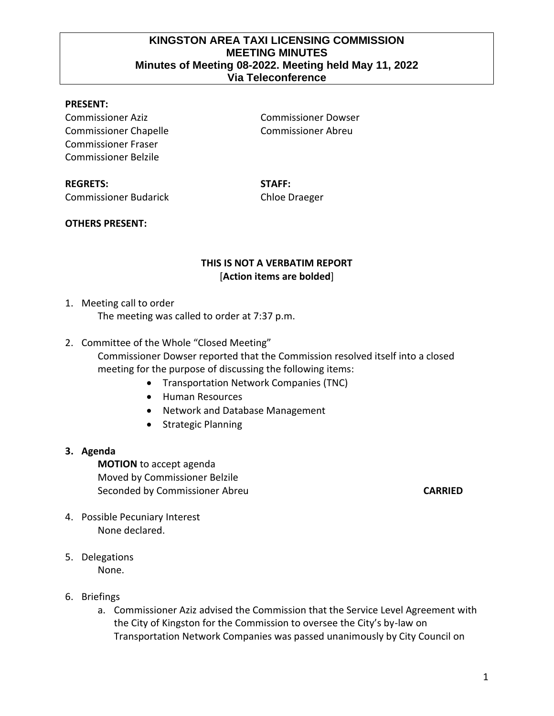## **KINGSTON AREA TAXI LICENSING COMMISSION MEETING MINUTES Minutes of Meeting 08-2022. Meeting held May 11, 2022 Via Teleconference**

### **PRESENT:**

Commissioner Aziz Commissioner Dowser Commissioner Chapelle Commissioner Abreu Commissioner Fraser Commissioner Belzile

# **REGRETS: STAFF:** Commissioner Budarick Chloe Draeger

### **OTHERS PRESENT:**

# **THIS IS NOT A VERBATIM REPORT** [**Action items are bolded**]

1. Meeting call to order

The meeting was called to order at 7:37 p.m.

2. Committee of the Whole "Closed Meeting"

Commissioner Dowser reported that the Commission resolved itself into a closed meeting for the purpose of discussing the following items:

- Transportation Network Companies (TNC)
- Human Resources
- Network and Database Management
- Strategic Planning

#### **3. Agenda**

**MOTION** to accept agenda Moved by Commissioner Belzile Seconded by Commissioner Abreu **CARRIED**

- 4. Possible Pecuniary Interest None declared.
- 5. Delegations None.
- 6. Briefings
	- a. Commissioner Aziz advised the Commission that the Service Level Agreement with the City of Kingston for the Commission to oversee the City's by-law on Transportation Network Companies was passed unanimously by City Council on